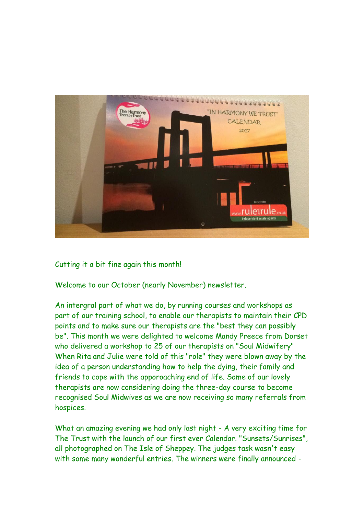

Cutting it a bit fine again this month!

Welcome to our October (nearly November) newsletter.

An intergral part of what we do, by running courses and workshops as part of our training school, to enable our therapists to maintain their CPD points and to make sure our therapists are the "best they can possibly be". This month we were delighted to welcome Mandy Preece from Dorset who delivered a workshop to 25 of our therapists on "Soul Midwifery" When Rita and Julie were told of this "role" they were blown away by the idea of a person understanding how to help the dying, their family and friends to cope with the apporoaching end of life. Some of our lovely therapists are now considering doing the three-day course to become recognised Soul Midwives as we are now receiving so many referrals from hospices.

What an amazing evening we had only last night - A very exciting time for The Trust with the launch of our first ever Calendar. "Sunsets/Sunrises", all photographed on The Isle of Sheppey. The judges task wasn't easy with some many wonderful entries. The winners were finally announced -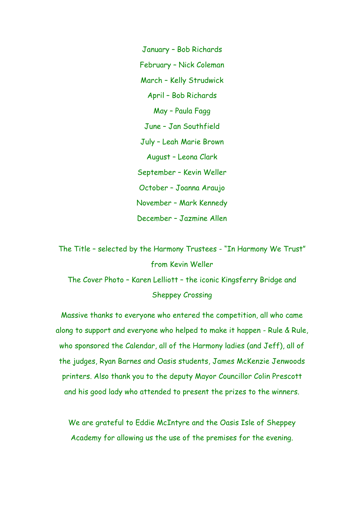January – Bob Richards February – Nick Coleman March – Kelly Strudwick April – Bob Richards May – Paula Fagg June – Jan Southfield July – Leah Marie Brown August – Leona Clark September – Kevin Weller October – Joanna Araujo November – Mark Kennedy December – Jazmine Allen

The Title – selected by the Harmony Trustees - "In Harmony We Trust" from Kevin Weller

The Cover Photo – Karen Lelliott – the iconic Kingsferry Bridge and Sheppey Crossing

Massive thanks to everyone who entered the competition, all who came along to support and everyone who helped to make it happen - Rule & Rule, who sponsored the Calendar, all of the Harmony ladies (and Jeff), all of the judges, Ryan Barnes and Oasis students, James McKenzie Jenwoods printers. Also thank you to the deputy Mayor Councillor Colin Prescott and his good lady who attended to present the prizes to the winners.

We are grateful to Eddie McIntyre and the Oasis Isle of Sheppey Academy for allowing us the use of the premises for the evening.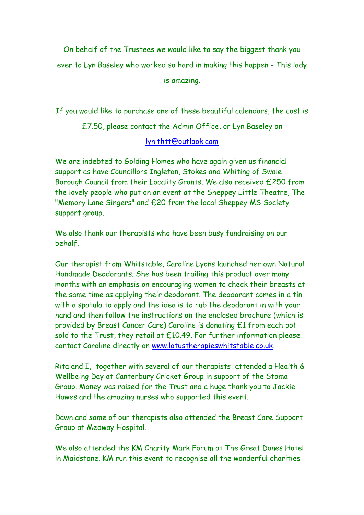On behalf of the Trustees we would like to say the biggest thank you ever to Lyn Baseley who worked so hard in making this happen - This lady is amazing.

If you would like to purchase one of these beautiful calendars, the cost is £7.50, please contact the Admin Office, or Lyn Baseley on

## [lyn.thtt@outlook.com](mailto:lyn.thtt@outlook.com)

We are indebted to Golding Homes who have again given us financial support as have Councillors Ingleton, Stokes and Whiting of Swale Borough Council from their Locality Grants. We also received £250 from the lovely people who put on an event at the Sheppey Little Theatre, The "Memory Lane Singers" and £20 from the local Sheppey MS Society support group.

We also thank our therapists who have been busy fundraising on our behalf.

Our therapist from Whitstable, Caroline Lyons launched her own Natural Handmade Deodorants. She has been trailing this product over many months with an emphasis on encouraging women to check their breasts at the same time as applying their deodorant. The deodorant comes in a tin with a spatula to apply and the idea is to rub the deodorant in with your hand and then follow the instructions on the enclosed brochure (which is provided by Breast Cancer Care) Caroline is donating £1 from each pot sold to the Trust, they retail at £10.49. For further information please contact Caroline directly on [www.lotustherapieswhitstable.co.uk.](http://www.lotustherapieswhitstable.co.uk/)

Rita and I, together with several of our therapists attended a Health & Wellbeing Day at Canterbury Cricket Group in support of the Stoma Group. Money was raised for the Trust and a huge thank you to Jackie Hawes and the amazing nurses who supported this event.

Dawn and some of our therapists also attended the Breast Care Support Group at Medway Hospital.

We also attended the KM Charity Mark Forum at The Great Danes Hotel in Maidstone. KM run this event to recognise all the wonderful charities